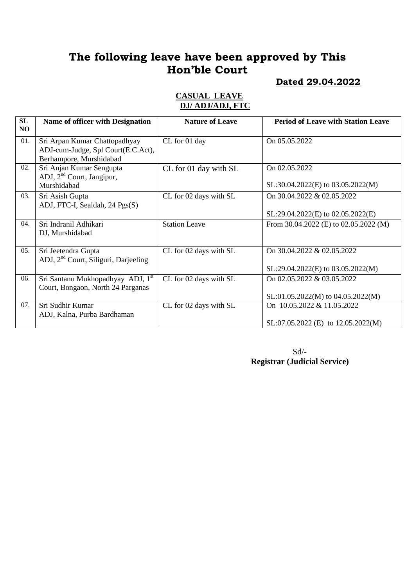## **Dated 29.04.2022**

#### **CASUAL LEAVE DJ/ ADJ/ADJ, FTC**

| SL<br>N <sub>O</sub> | <b>Name of officer with Designation</b>                                                        | <b>Nature of Leave</b> | <b>Period of Leave with Station Leave</b>                            |
|----------------------|------------------------------------------------------------------------------------------------|------------------------|----------------------------------------------------------------------|
| 01.                  | Sri Arpan Kumar Chattopadhyay<br>ADJ-cum-Judge, Spl Court(E.C.Act),<br>Berhampore, Murshidabad | CL for 01 day          | On 05.05.2022                                                        |
| 02.                  | Sri Anjan Kumar Sengupta<br>ADJ, 2 <sup>nd</sup> Court, Jangipur,<br>Murshidabad               | CL for 01 day with SL  | On 02.05.2022<br>SL:30.04.2022(E) to 03.05.2022(M)                   |
| 03.                  | Sri Asish Gupta<br>ADJ, FTC-I, Sealdah, 24 Pgs(S)                                              | CL for 02 days with SL | On 30.04.2022 & 02.05.2022<br>$SL:29.04.2022(E)$ to $02.05.2022(E)$  |
| 04.                  | Sri Indranil Adhikari<br>DJ, Murshidabad                                                       | <b>Station Leave</b>   | From 30.04.2022 (E) to 02.05.2022 (M)                                |
| 05.                  | Sri Jeetendra Gupta<br>ADJ, 2 <sup>nd</sup> Court, Siliguri, Darjeeling                        | CL for 02 days with SL | On 30.04.2022 & 02.05.2022<br>$SL:29.04.2022(E)$ to $03.05.2022(M)$  |
| 06.                  | Sri Santanu Mukhopadhyay ADJ, 1 <sup>st</sup><br>Court, Bongaon, North 24 Parganas             | CL for 02 days with SL | On 02.05.2022 & 03.05.2022<br>$SL:01.05.2022(M)$ to $04.05.2022(M)$  |
| 07.                  | Sri Sudhir Kumar<br>ADJ, Kalna, Purba Bardhaman                                                | CL for 02 days with SL | On 10.05.2022 & 11.05.2022<br>$SL:07.05.2022$ (E) to $12.05.2022(M)$ |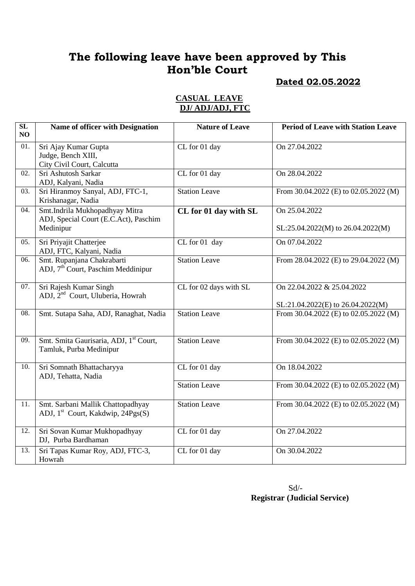## **Dated 02.05.2022**

#### **CASUAL LEAVE DJ/ ADJ/ADJ, FTC**

| $\overline{\text{SL}}$<br>NO | Name of officer with Designation                                                     | <b>Nature of Leave</b> | <b>Period of Leave with Station Leave</b>                       |
|------------------------------|--------------------------------------------------------------------------------------|------------------------|-----------------------------------------------------------------|
| 01.                          | Sri Ajay Kumar Gupta<br>Judge, Bench XIII,<br>City Civil Court, Calcutta             | CL for 01 day          | On 27.04.2022                                                   |
| $\overline{02}$ .            | Sri Ashutosh Sarkar<br>ADJ, Kalyani, Nadia                                           | CL for 01 day          | On 28.04.2022                                                   |
| 03.                          | Sri Hiranmoy Sanyal, ADJ, FTC-1,<br>Krishanagar, Nadia                               | <b>Station Leave</b>   | From 30.04.2022 (E) to 02.05.2022 (M)                           |
| 04.                          | Smt.Indrila Mukhopadhyay Mitra<br>ADJ, Special Court (E.C.Act), Paschim<br>Medinipur | CL for 01 day with SL  | On 25.04.2022<br>$SL:25.04.2022(M)$ to 26.04.2022(M)            |
| 05.                          | Sri Priyajit Chatterjee<br>ADJ, FTC, Kalyani, Nadia                                  | CL for 01 day          | On 07.04.2022                                                   |
| 06.                          | Smt. Rupanjana Chakrabarti<br>ADJ, 7 <sup>th</sup> Court, Paschim Meddinipur         | <b>Station Leave</b>   | From 28.04.2022 (E) to 29.04.2022 (M)                           |
| 07.                          | Sri Rajesh Kumar Singh<br>ADJ, 2 <sup>nd</sup> Court, Uluberia, Howrah               | CL for 02 days with SL | On 22.04.2022 & 25.04.2022<br>SL:21.04.2022(E) to 26.04.2022(M) |
| 08.                          | Smt. Sutapa Saha, ADJ, Ranaghat, Nadia                                               | <b>Station Leave</b>   | From 30.04.2022 (E) to 02.05.2022 (M)                           |
| 09.                          | Smt. Smita Gaurisaria, ADJ, 1st Court,<br>Tamluk, Purba Medinipur                    | <b>Station Leave</b>   | From 30.04.2022 (E) to $\overline{02.05.2022}$ (M)              |
| 10.                          | Sri Somnath Bhattacharyya<br>ADJ, Tehatta, Nadia                                     | CL for 01 day          | On 18.04.2022                                                   |
|                              |                                                                                      | <b>Station Leave</b>   | From 30.04.2022 (E) to 02.05.2022 (M)                           |
| 11.                          | Smt. Sarbani Mallik Chattopadhyay<br>ADJ, 1 <sup>st</sup> Court, Kakdwip, 24Pgs(S)   | <b>Station Leave</b>   | From 30.04.2022 (E) to 02.05.2022 (M)                           |
| 12.                          | Sri Sovan Kumar Mukhopadhyay<br>DJ, Purba Bardhaman                                  | CL for 01 day          | On 27.04.2022                                                   |
| 13.                          | Sri Tapas Kumar Roy, ADJ, FTC-3,<br>Howrah                                           | CL for 01 day          | On 30.04.2022                                                   |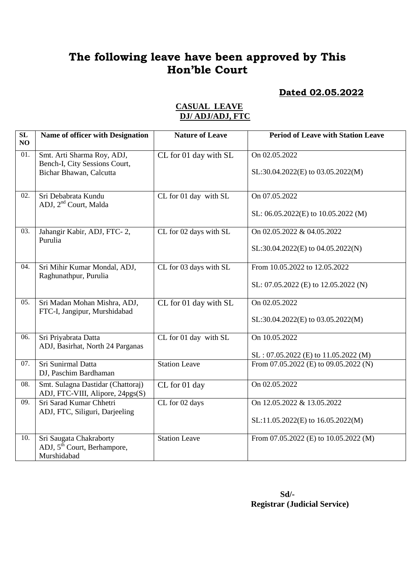### **Dated 02.05.2022**

| SL<br>NO | Name of officer with Designation                                                  | <b>Nature of Leave</b> | <b>Period of Leave with Station Leave</b>          |
|----------|-----------------------------------------------------------------------------------|------------------------|----------------------------------------------------|
| 01.      | Smt. Arti Sharma Roy, ADJ,<br>Bench-I, City Sessions Court,                       | CL for 01 day with SL  | On 02.05.2022<br>SL:30.04.2022(E) to 03.05.2022(M) |
|          | Bichar Bhawan, Calcutta                                                           |                        |                                                    |
| 02.      | Sri Debabrata Kundu<br>ADJ, 2 <sup>nd</sup> Court, Malda                          | CL for 01 day with SL  | On 07.05.2022                                      |
|          |                                                                                   |                        | SL: 06.05.2022(E) to 10.05.2022 (M)                |
| 03.      | Jahangir Kabir, ADJ, FTC-2,<br>Purulia                                            | CL for 02 days with SL | On 02.05.2022 & 04.05.2022                         |
|          |                                                                                   |                        | SL:30.04.2022(E) to 04.05.2022(N)                  |
| 04.      | Sri Mihir Kumar Mondal, ADJ,<br>Raghunathpur, Purulia                             | CL for 03 days with SL | From 10.05.2022 to 12.05.2022                      |
|          |                                                                                   |                        | SL: 07.05.2022 (E) to 12.05.2022 (N)               |
| 05.      | Sri Madan Mohan Mishra, ADJ,<br>FTC-I, Jangipur, Murshidabad                      | CL for 01 day with SL  | On 02.05.2022                                      |
|          |                                                                                   |                        | SL:30.04.2022(E) to 03.05.2022(M)                  |
| 06.      | Sri Priyabrata Datta<br>ADJ, Basirhat, North 24 Parganas                          | CL for 01 day with SL  | On 10.05.2022                                      |
|          |                                                                                   |                        | $SL: 07.05.2022$ (E) to 11.05.2022 (M)             |
| 07.      | Sri Sunirmal Datta<br>DJ, Paschim Bardhaman                                       | <b>Station Leave</b>   | From 07.05.2022 (E) to 09.05.2022 (N)              |
| 08.      | Smt. Sulagna Dastidar (Chattoraj)<br>ADJ, FTC-VIII, Alipore, 24pgs(S)             | CL for 01 day          | On 02.05.2022                                      |
| 09.      | Sri Sarad Kumar Chhetri<br>ADJ, FTC, Siliguri, Darjeeling                         | CL for 02 days         | On 12.05.2022 & 13.05.2022                         |
|          |                                                                                   |                        | SL:11.05.2022(E) to 16.05.2022(M)                  |
| 10.      | Sri Saugata Chakraborty<br>ADJ, 5 <sup>th</sup> Court, Berhampore,<br>Murshidabad | <b>Station Leave</b>   | From 07.05.2022 (E) to 10.05.2022 (M)              |

## **CASUAL LEAVE DJ/ ADJ/ADJ, FTC**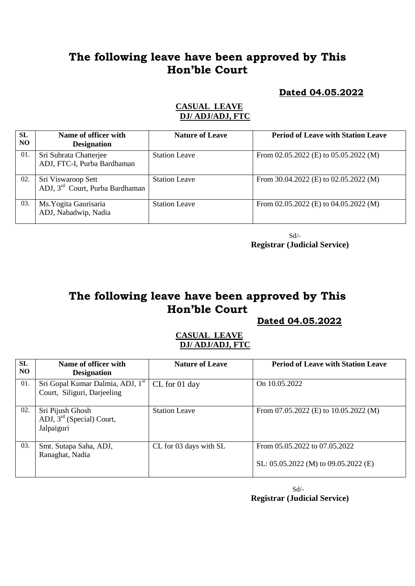### **Dated 04.05.2022**

### **CASUAL LEAVE DJ/ ADJ/ADJ, FTC**

| <b>SL</b><br>N <sub>O</sub> | Name of officer with<br><b>Designation</b>                        | <b>Nature of Leave</b> | <b>Period of Leave with Station Leave</b> |
|-----------------------------|-------------------------------------------------------------------|------------------------|-------------------------------------------|
| 01.                         | Sri Subrata Chatterjee<br>ADJ, FTC-I, Purba Bardhaman             | <b>Station Leave</b>   | From 02.05.2022 (E) to $05.05.2022$ (M)   |
| 02.                         | Sri Viswaroop Sett<br>ADJ, 3 <sup>rd</sup> Court, Purba Bardhaman | <b>Station Leave</b>   | From $30.04.2022$ (E) to $02.05.2022$ (M) |
| 03.                         | Ms. Yogita Gaurisaria<br>ADJ, Nabadwip, Nadia                     | <b>Station Leave</b>   | From 02.05.2022 (E) to $04.05.2022$ (M)   |

 Sd/- **Registrar (Judicial Service)**

# **The following leave have been approved by This Hon'ble Court**

 **Dated 04.05.2022**

### **CASUAL LEAVE DJ/ ADJ/ADJ, FTC**

| <b>SL</b><br>NO. | Name of officer with<br><b>Designation</b>                                  | <b>Nature of Leave</b> | <b>Period of Leave with Station Leave</b>                                 |
|------------------|-----------------------------------------------------------------------------|------------------------|---------------------------------------------------------------------------|
| 01.              | Sri Gopal Kumar Dalmia, ADJ, 1 <sup>st</sup><br>Court, Siliguri, Darjeeling | CL for 01 day          | On 10.05.2022                                                             |
| 02.              | Sri Pijush Ghosh<br>ADJ, $3rd$ (Special) Court,<br>Jalpaiguri               | <b>Station Leave</b>   | From $07.05.2022$ (E) to $10.05.2022$ (M)                                 |
| 03.              | Smt. Sutapa Saha, ADJ,<br>Ranaghat, Nadia                                   | CL for 03 days with SL | From 05.05.2022 to 07.05.2022<br>SL: $05.05.2022$ (M) to $09.05.2022$ (E) |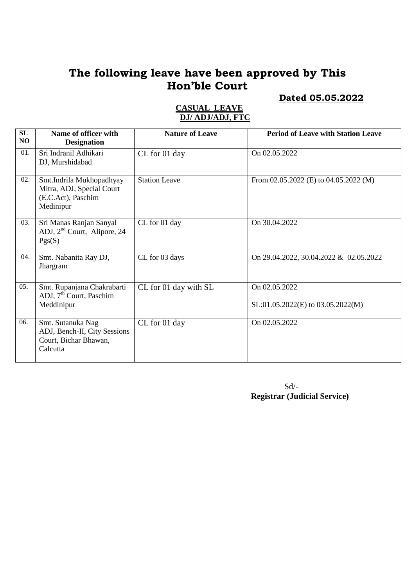# **Dated 05.05.2022**

| SL<br>NO | Name of officer with<br><b>Designation</b>                                               | <b>Nature of Leave</b> | <b>Period of Leave with Station Leave</b>            |
|----------|------------------------------------------------------------------------------------------|------------------------|------------------------------------------------------|
| 01.      | Sri Indranil Adhikari<br>DJ, Murshidabad                                                 | CL for 01 day          | On 02.05.2022                                        |
| 02.      | Smt.Indrila Mukhopadhyay<br>Mitra, ADJ, Special Court<br>(E.C.Act), Paschim<br>Medinipur | <b>Station Leave</b>   | From $02.05.2022$ (E) to $04.05.2022$ (M)            |
| 03.      | Sri Manas Ranjan Sanyal<br>ADJ, $2nd$ Court, Alipore, 24<br>Pgs(S)                       | CL for 01 day          | On 30.04.2022                                        |
| 04.      | Smt. Nabanita Ray DJ,<br>Jhargram                                                        | CL for 03 days         | On 29.04.2022, 30.04.2022 & 02.05.2022               |
| 05.      | Smt. Rupanjana Chakrabarti<br>ADJ, 7 <sup>th</sup> Court, Paschim<br>Meddinipur          | CL for 01 day with SL  | On 02.05.2022<br>$SL:01.05.2022(E)$ to 03.05.2022(M) |
| 06.      | Smt. Sutanuka Nag<br>ADJ, Bench-II, City Sessions<br>Court, Bichar Bhawan,<br>Calcutta   | CL for 01 day          | On 02.05.2022                                        |

## **CASUAL LEAVE DJ/ ADJ/ADJ, FTC**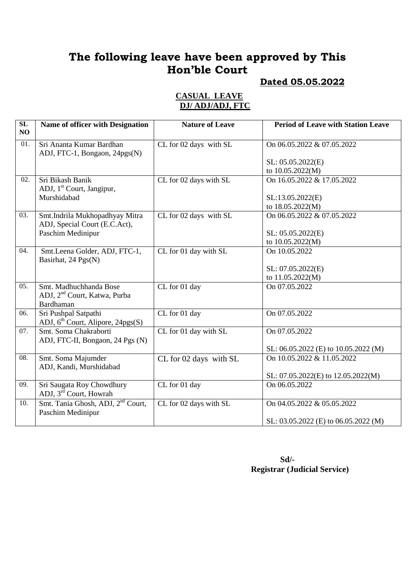# **Dated 05.05.2022**

#### **CASUAL LEAVE DJ/ ADJ/ADJ, FTC**

| $\overline{\text{SL}}$<br>NO | Name of officer with Designation                                                       | <b>Nature of Leave</b> | <b>Period of Leave with Station Leave</b>                          |
|------------------------------|----------------------------------------------------------------------------------------|------------------------|--------------------------------------------------------------------|
| 01.                          | Sri Ananta Kumar Bardhan<br>ADJ, FTC-1, Bongaon, 24pgs(N)                              | CL for 02 days with SL | On 06.05.2022 & 07.05.2022                                         |
|                              |                                                                                        |                        | SL: 05.05.2022(E)<br>to 10.05.2022(M)                              |
| 02.                          | Sri Bikash Banik<br>ADJ, 1 <sup>st</sup> Court, Jangipur,                              | CL for 02 days with SL | On 16.05.2022 & 17.05.2022                                         |
|                              | Murshidabad                                                                            |                        | SL:13.05.2022(E)<br>to 18.05.2022(M)                               |
| 03.                          | Smt.Indrila Mukhopadhyay Mitra<br>ADJ, Special Court (E.C.Act),                        | CL for 02 days with SL | On 06.05.2022 & 07.05.2022                                         |
|                              | Paschim Medinipur                                                                      |                        | SL: 05.05.2022(E)<br>to 10.05.2022(M)                              |
| 04.                          | Smt.Leena Golder, ADJ, FTC-1,<br>Basirhat, 24 Pgs(N)                                   | CL for 01 day with SL  | On 10.05.2022                                                      |
|                              |                                                                                        |                        | SL: 07.05.2022(E)<br>to 11.05.2022(M)                              |
| 05.                          | Smt. Madhuchhanda Bose<br>ADJ, 2 <sup>nd</sup> Court, Katwa, Purba<br><b>Bardhaman</b> | CL for 01 day          | On 07.05.2022                                                      |
| 06.                          | Sri Pushpal Satpathi<br>ADJ, 6 <sup>th</sup> Court, Alipore, 24pgs(S)                  | CL for 01 day          | On 07.05.2022                                                      |
| 07.                          | Smt. Soma Chakraborti<br>ADJ, FTC-II, Bongaon, 24 Pgs (N)                              | CL for 01 day with SL  | On 07.05.2022                                                      |
| 08.                          | Smt. Soma Majumder<br>ADJ, Kandi, Murshidabad                                          | CL for 02 days with SL | SL: 06.05.2022 (E) to 10.05.2022 (M)<br>On 10.05.2022 & 11.05.2022 |
| 09.                          | Sri Saugata Roy Chowdhury<br>ADJ, 3 <sup>rd</sup> Court, Howrah                        | CL for 01 day          | SL: 07.05.2022(E) to 12.05.2022(M)<br>On 06.05.2022                |
| 10.                          | Smt. Tania Ghosh, ADJ, 2 <sup>nd</sup> Court,<br>Paschim Medinipur                     | CL for 02 days with SL | On 04.05.2022 & 05.05.2022<br>SL: 03.05.2022 (E) to 06.05.2022 (M) |
|                              |                                                                                        |                        |                                                                    |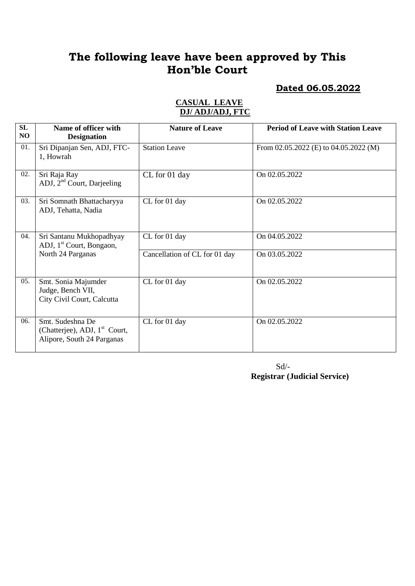**Dated 06.05.2022**

| SL<br>NO. | Name of officer with<br><b>Designation</b>                                                  | <b>Nature of Leave</b>        | <b>Period of Leave with Station Leave</b> |
|-----------|---------------------------------------------------------------------------------------------|-------------------------------|-------------------------------------------|
| 01.       | Sri Dipanjan Sen, ADJ, FTC-<br>1, Howrah                                                    | <b>Station Leave</b>          | From 02.05.2022 (E) to 04.05.2022 (M)     |
| 02.       | Sri Raja Ray<br>ADJ, $2nd$ Court, Darjeeling                                                | CL for 01 day                 | On 02.05.2022                             |
| 03.       | Sri Somnath Bhattacharyya<br>ADJ, Tehatta, Nadia                                            | CL for 01 day                 | On 02.05.2022                             |
| 04.       | Sri Santanu Mukhopadhyay<br>ADJ, 1 <sup>st</sup> Court, Bongaon,                            | CL for 01 day                 | On 04.05.2022                             |
|           | North 24 Parganas                                                                           | Cancellation of CL for 01 day | On 03.05.2022                             |
| 05.       | Smt. Sonia Majumder<br>Judge, Bench VII,<br>City Civil Court, Calcutta                      | CL for 01 day                 | On 02.05.2022                             |
| 06.       | Smt. Sudeshna De<br>(Chatterjee), ADJ, 1 <sup>st</sup> Court,<br>Alipore, South 24 Parganas | CL for 01 day                 | On 02.05.2022                             |

### **CASUAL LEAVE DJ/ ADJ/ADJ, FTC**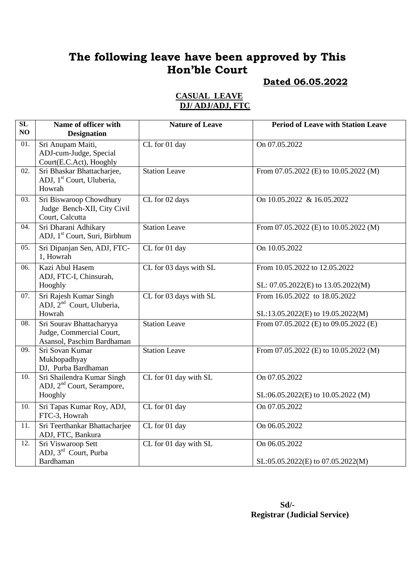# **Dated 06.05.2022**

#### **CASUAL LEAVE DJ/ ADJ/ADJ, FTC**

| SL<br>N <sub>O</sub> | Name of officer with<br><b>Designation</b>                                         | <b>Nature of Leave</b> | <b>Period of Leave with Station Leave</b>                           |
|----------------------|------------------------------------------------------------------------------------|------------------------|---------------------------------------------------------------------|
| 01.                  | Sri Anupam Maiti,<br>ADJ-cum-Judge, Special<br>Court(E.C.Act), Hooghly             | CL for 01 day          | On 07.05.2022                                                       |
| 02.                  | Sri Bhaskar Bhattacharjee,<br>ADJ, 1 <sup>st</sup> Court, Uluberia,<br>Howrah      | <b>Station Leave</b>   | From 07.05.2022 (E) to 10.05.2022 (M)                               |
| 03.                  | Sri Biswaroop Chowdhury<br>Judge Bench-XII, City Civil<br>Court, Calcutta          | CL for 02 days         | On 10.05.2022 & 16.05.2022                                          |
| 04.                  | Sri Dharani Adhikary<br>ADJ, 1 <sup>st</sup> Court, Suri, Birbhum                  | <b>Station Leave</b>   | From 07.05.2022 (E) to 10.05.2022 (M)                               |
| 05.                  | Sri Dipanjan Sen, ADJ, FTC-<br>1, Howrah                                           | CL for 01 day          | On 10.05.2022                                                       |
| 06.                  | Kazi Abul Hasem<br>ADJ, FTC-I, Chinsurah,<br>Hooghly                               | CL for 03 days with SL | From 10.05.2022 to 12.05.2022<br>SL: 07.05.2022(E) to 13.05.2022(M) |
| 07.                  | Sri Rajesh Kumar Singh<br>ADJ, 2 <sup>nd</sup> Court, Uluberia,<br>Howrah          | CL for 03 days with SL | From 16.05.2022 to 18.05.2022<br>SL:13.05.2022(E) to 19.05.2022(M)  |
| 08.                  | Sri Sourav Bhattacharyya<br>Judge, Commercial Court,<br>Asansol, Paschim Bardhaman | <b>Station Leave</b>   | From 07.05.2022 (E) to 09.05.2022 (E)                               |
| $\overline{09}$ .    | Sri Sovan Kumar<br>Mukhopadhyay<br>DJ, Purba Bardhaman                             | <b>Station Leave</b>   | From 07.05.2022 (E) to 10.05.2022 (M)                               |
| 10.                  | Sri Shailendra Kumar Singh<br>ADJ, 2 <sup>nd</sup> Court, Serampore,<br>Hooghly    | CL for 01 day with SL  | On 07.05.2022<br>SL:06.05.2022(E) to 10.05.2022 (M)                 |
| 10.                  | Sri Tapas Kumar Roy, ADJ,<br>FTC-3, Howrah                                         | CL for 01 day          | On 07.05.2022                                                       |
| 11.                  | Sri Teerthankar Bhattacharjee<br>ADJ, FTC, Bankura                                 | CL for 01 day          | On 06.05.2022                                                       |
| 12.                  | Sri Viswaroop Sett<br>ADJ, 3 <sup>rd</sup> Court, Purba                            | CL for 01 day with SL  | On 06.05.2022                                                       |
|                      | Bardhaman                                                                          |                        | SL:05.05.2022(E) to 07.05.2022(M)                                   |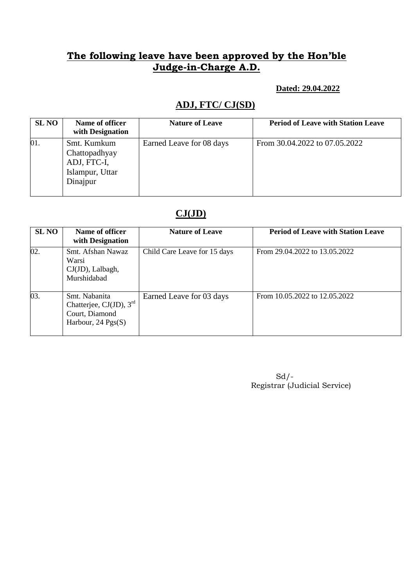### **Dated: 29.04.2022**

# **ADJ, FTC/ CJ(SD)**

| <b>SL NO</b> | Name of officer<br>with Designation                                        | <b>Nature of Leave</b>   | <b>Period of Leave with Station Leave</b> |
|--------------|----------------------------------------------------------------------------|--------------------------|-------------------------------------------|
| 01.          | Smt. Kumkum<br>Chattopadhyay<br>ADJ, FTC-I,<br>Islampur, Uttar<br>Dinajpur | Earned Leave for 08 days | From 30.04.2022 to 07.05.2022             |

## **CJ(JD)**

| <b>SL NO</b> | Name of officer<br>with Designation                                                          | <b>Nature of Leave</b>       | <b>Period of Leave with Station Leave</b> |
|--------------|----------------------------------------------------------------------------------------------|------------------------------|-------------------------------------------|
| 02.          | Smt. Afshan Nawaz<br>Warsi<br>CJ(JD), Lalbagh,<br>Murshidabad                                | Child Care Leave for 15 days | From 29.04.2022 to 13.05.2022             |
| 03.          | Smt. Nabanita<br>Chatterjee, CJ(JD), $3rd$<br>Court, Diamond<br>Harbour, $24 \text{ Pgs}(S)$ | Earned Leave for 03 days     | From 10.05.2022 to 12.05.2022             |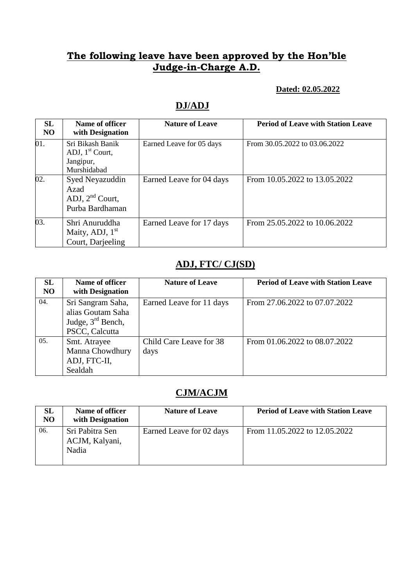### **Dated: 02.05.2022**

# **DJ/ADJ**

| SL<br>N <sub>O</sub> | Name of officer<br>with Designation                               | <b>Nature of Leave</b>   | <b>Period of Leave with Station Leave</b> |
|----------------------|-------------------------------------------------------------------|--------------------------|-------------------------------------------|
| 01.                  | Sri Bikash Banik<br>ADJ, $1st$ Court,<br>Jangipur,<br>Murshidabad | Earned Leave for 05 days | From 30.05.2022 to 03.06.2022             |
| 02.                  | Syed Neyazuddin<br>Azad<br>ADJ, $2nd$ Court,<br>Purba Bardhaman   | Earned Leave for 04 days | From 10.05.2022 to 13.05.2022             |
| 03.                  | Shri Anuruddha<br>Maity, ADJ, $1st$<br>Court, Darjeeling          | Earned Leave for 17 days | From 25.05.2022 to 10.06.2022             |

# **ADJ, FTC/ CJ(SD)**

| SL<br>NO | Name of officer<br>with Designation                                             | <b>Nature of Leave</b>          | <b>Period of Leave with Station Leave</b> |
|----------|---------------------------------------------------------------------------------|---------------------------------|-------------------------------------------|
| 04.      | Sri Sangram Saha,<br>alias Goutam Saha<br>Judge, $3rd$ Bench,<br>PSCC, Calcutta | Earned Leave for 11 days        | From 27.06.2022 to 07.07.2022             |
| 05.      | Smt. Atrayee<br>Manna Chowdhury<br>ADJ, FTC-II,<br>Sealdah                      | Child Care Leave for 38<br>days | From 01.06.2022 to 08.07.2022             |

## **CJM/ACJM**

| <b>SL</b><br>N <sub>O</sub> | Name of officer<br>with Designation        | <b>Nature of Leave</b>   | <b>Period of Leave with Station Leave</b> |
|-----------------------------|--------------------------------------------|--------------------------|-------------------------------------------|
| 06.                         | Sri Pabitra Sen<br>ACJM, Kalyani,<br>Nadia | Earned Leave for 02 days | From 11.05.2022 to 12.05.2022             |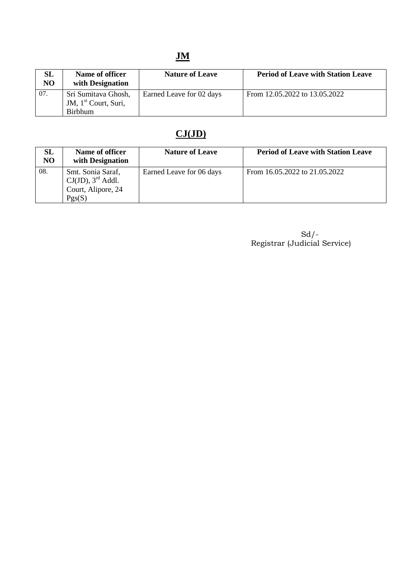# **JM**

| <b>SL</b><br>N <sub>O</sub> | Name of officer<br>with Designation | <b>Nature of Leave</b>   | <b>Period of Leave with Station Leave</b> |
|-----------------------------|-------------------------------------|--------------------------|-------------------------------------------|
| 07.                         | Sri Sumitava Ghosh,                 | Earned Leave for 02 days | From 12.05.2022 to 13.05.2022             |
|                             | JM, 1 <sup>st</sup> Court, Suri,    |                          |                                           |
|                             | <b>Birbhum</b>                      |                          |                                           |

# **CJ(JD)**

| SL<br>N <sub>O</sub> | Name of officer<br>with Designation                                                   | <b>Nature of Leave</b>   | <b>Period of Leave with Station Leave</b> |
|----------------------|---------------------------------------------------------------------------------------|--------------------------|-------------------------------------------|
| 08.                  | Smt. Sonia Saraf,<br>$CJ(JD)$ , 3 <sup>rd</sup> Addl.<br>Court, Alipore, 24<br>Pgs(S) | Earned Leave for 06 days | From 16.05.2022 to 21.05.2022             |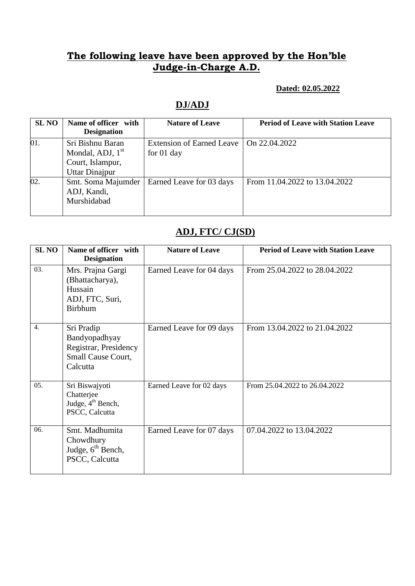### **Dated: 02.05.2022**

# **DJ/ADJ**

| <b>SL NO</b> | Name of officer with<br><b>Designation</b>                                          | <b>Nature of Leave</b>                           | <b>Period of Leave with Station Leave</b> |
|--------------|-------------------------------------------------------------------------------------|--------------------------------------------------|-------------------------------------------|
| 01.          | Sri Bishnu Baran<br>Mondal, ADJ, $1st$<br>Court, Islampur,<br><b>Uttar Dinajpur</b> | <b>Extension of Earned Leave</b><br>for $01$ day | On 22,04,2022                             |
| 02.          | Smt. Soma Majumder<br>ADJ, Kandi,<br>Murshidabad                                    | Earned Leave for 03 days                         | From 11.04.2022 to 13.04.2022             |

## **ADJ, FTC/ CJ(SD)**

| <b>SLNO</b>      | Name of officer with<br><b>Designation</b>                                             | <b>Nature of Leave</b>   | <b>Period of Leave with Station Leave</b> |
|------------------|----------------------------------------------------------------------------------------|--------------------------|-------------------------------------------|
| 03.              | Mrs. Prajna Gargi<br>(Bhattacharya),<br>Hussain<br>ADJ, FTC, Suri,<br><b>Birbhum</b>   | Earned Leave for 04 days | From 25.04.2022 to 28.04.2022             |
| $\overline{4}$ . | Sri Pradip<br>Bandyopadhyay<br>Registrar, Presidency<br>Small Cause Court,<br>Calcutta | Earned Leave for 09 days | From 13.04.2022 to 21.04.2022             |
| 05.              | Sri Biswajyoti<br>Chatterjee<br>Judge, 4 <sup>th</sup> Bench,<br>PSCC, Calcutta        | Earned Leave for 02 days | From 25.04.2022 to 26.04.2022             |
| 06.              | Smt. Madhumita<br>Chowdhury<br>Judge, $6^{\text{th}}$ Bench,<br>PSCC, Calcutta         | Earned Leave for 07 days | 07.04.2022 to 13.04.2022                  |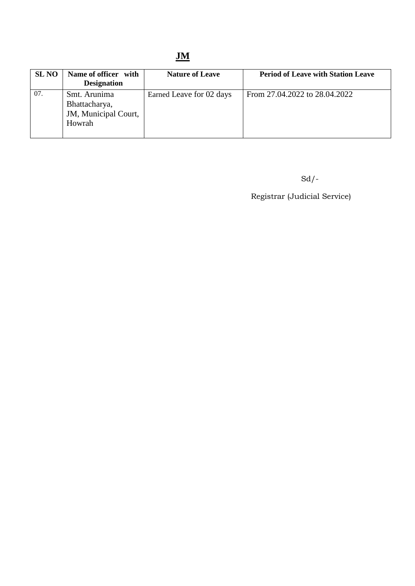# **JM**

| <b>SL NO</b> | Name of officer with<br><b>Designation</b>                      | <b>Nature of Leave</b>   | <b>Period of Leave with Station Leave</b> |
|--------------|-----------------------------------------------------------------|--------------------------|-------------------------------------------|
| 07.          | Smt. Arunima<br>Bhattacharya,<br>JM, Municipal Court,<br>Howrah | Earned Leave for 02 days | From 27.04.2022 to 28.04.2022             |

Sd/-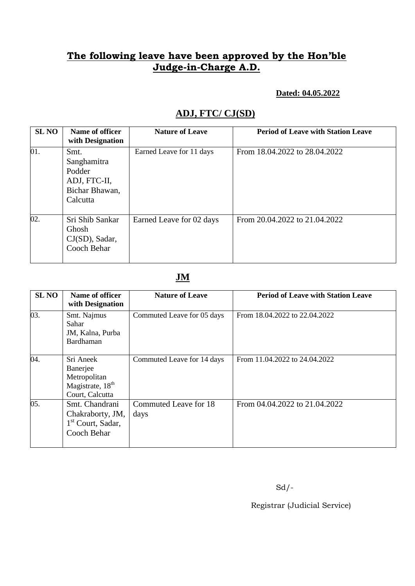#### **Dated: 04.05.2022**

# **ADJ, FTC/ CJ(SD)**

| <b>SLNO</b> | Name of officer<br>with Designation                                         | <b>Nature of Leave</b>   | <b>Period of Leave with Station Leave</b> |
|-------------|-----------------------------------------------------------------------------|--------------------------|-------------------------------------------|
| 01.         | Smt.<br>Sanghamitra<br>Podder<br>ADJ, FTC-II,<br>Bichar Bhawan,<br>Calcutta | Earned Leave for 11 days | From 18.04.2022 to 28.04.2022             |
| 02.         | Sri Shib Sankar<br>Ghosh<br>$CJ(SD)$ , Sadar,<br>Cooch Behar                | Earned Leave for 02 days | From 20.04.2022 to 21.04.2022             |

## **JM**

| <b>SLNO</b> | Name of officer<br>with Designation                                                      | <b>Nature of Leave</b>        | <b>Period of Leave with Station Leave</b> |
|-------------|------------------------------------------------------------------------------------------|-------------------------------|-------------------------------------------|
| 03.         | Smt. Najmus<br>Sahar<br>JM, Kalna, Purba<br>Bardhaman                                    | Commuted Leave for 05 days    | From 18.04.2022 to 22.04.2022             |
| 04.         | Sri Aneek<br>Banerjee<br>Metropolitan<br>Magistrate, 18 <sup>th</sup><br>Court, Calcutta | Commuted Leave for 14 days    | From 11.04.2022 to 24.04.2022             |
| 05.         | Smt. Chandrani<br>Chakraborty, JM,<br>$1st$ Court, Sadar,<br>Cooch Behar                 | Commuted Leave for 18<br>days | From 04.04.2022 to 21.04.2022             |

 $Sd$  /-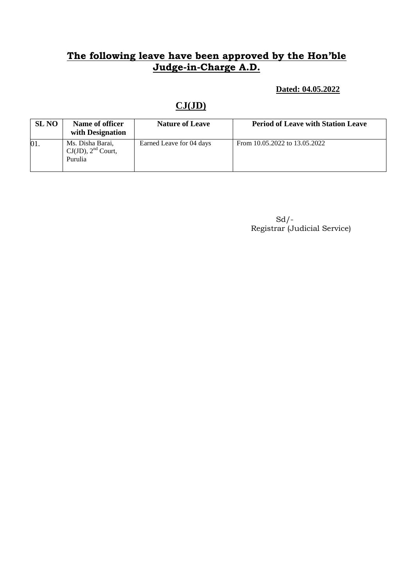**Dated: 04.05.2022**

# **CJ(JD)**

| <b>SL NO</b> | Name of officer<br>with Designation                    | <b>Nature of Leave</b>   | <b>Period of Leave with Station Leave</b> |
|--------------|--------------------------------------------------------|--------------------------|-------------------------------------------|
| 01.          | Ms. Disha Barai,<br>$CJ(JD)$ , $2nd$ Court,<br>Purulia | Earned Leave for 04 days | From 10.05.2022 to 13.05.2022             |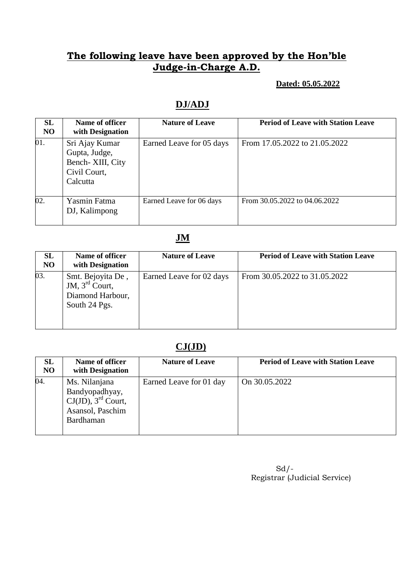### **Dated: 05.05.2022**

# **DJ/ADJ**

| SL<br>N <sub>O</sub> | Name of officer<br>with Designation                                              | <b>Nature of Leave</b>   | <b>Period of Leave with Station Leave</b> |
|----------------------|----------------------------------------------------------------------------------|--------------------------|-------------------------------------------|
| 01.                  | Sri Ajay Kumar<br>Gupta, Judge,<br>Bench- XIII, City<br>Civil Court,<br>Calcutta | Earned Leave for 05 days | From 17.05.2022 to 21.05.2022             |
| 02.                  | <b>Yasmin Fatma</b><br>DJ, Kalimpong                                             | Earned Leave for 06 days | From 30.05.2022 to 04.06.2022             |

# **JM**

| <b>SL</b><br>NO | Name of officer<br>with Designation                                                  | <b>Nature of Leave</b>   | <b>Period of Leave with Station Leave</b> |
|-----------------|--------------------------------------------------------------------------------------|--------------------------|-------------------------------------------|
| 03.             | Smt. Bejoyita De,<br>JM, $3^{\text{rd}}$ Court,<br>Diamond Harbour,<br>South 24 Pgs. | Earned Leave for 02 days | From 30.05.2022 to 31.05.2022             |

# **CJ(JD)**

| SL<br>N <sub>O</sub> | Name of officer<br>with Designation                                                                   | <b>Nature of Leave</b>  | <b>Period of Leave with Station Leave</b> |
|----------------------|-------------------------------------------------------------------------------------------------------|-------------------------|-------------------------------------------|
| 04.                  | Ms. Nilanjana<br>Bandyopadhyay,<br>$CJ(JD)$ , 3 <sup>rd</sup> Court,<br>Asansol, Paschim<br>Bardhaman | Earned Leave for 01 day | On 30.05.2022                             |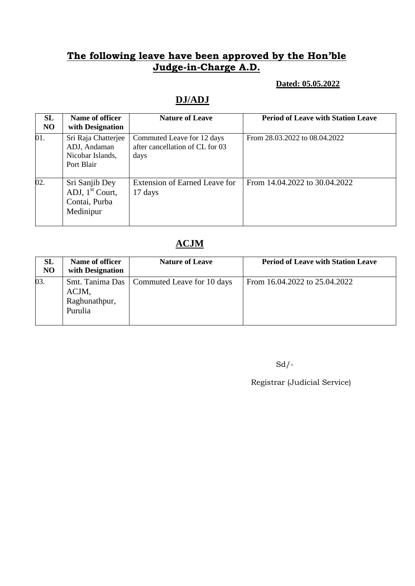### **Dated: 05.05.2022**

# **DJ/ADJ**

| SL<br>N <sub>O</sub> | Name of officer<br>with Designation                                   | <b>Nature of Leave</b>                                                | <b>Period of Leave with Station Leave</b> |
|----------------------|-----------------------------------------------------------------------|-----------------------------------------------------------------------|-------------------------------------------|
| 01.                  | Sri Raja Chatterjee<br>ADJ, Andaman<br>Nicobar Islands,<br>Port Blair | Commuted Leave for 12 days<br>after cancellation of CL for 03<br>days | From 28.03.2022 to 08.04.2022             |
| 02.                  | Sri Sanjib Dey<br>ADJ, $1st$ Court,<br>Contai, Purba<br>Medinipur     | <b>Extension of Earned Leave for</b><br>17 days                       | From 14.04.2022 to 30.04.2022             |

# **ACJM**

| <b>SL</b><br>N <sub>O</sub> | Name of officer<br>with Designation | <b>Nature of Leave</b>                       | <b>Period of Leave with Station Leave</b> |
|-----------------------------|-------------------------------------|----------------------------------------------|-------------------------------------------|
| 03.                         | ACJM,<br>Raghunathpur,<br>Purulia   | Smt. Tanima Das   Commuted Leave for 10 days | From 16.04.2022 to 25.04.2022             |

 $Sd$  /-